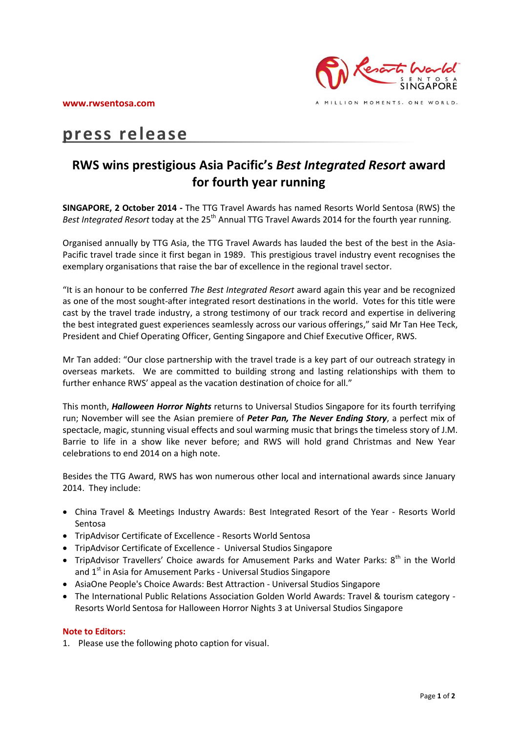

# **press release**

# **RWS wins prestigious Asia Pacific's** *Best Integrated Resort* **award for fourth year running**

**SINGAPORE, 2 October 2014 -** The TTG Travel Awards has named Resorts World Sentosa (RWS) the Best Integrated Resort today at the 25<sup>th</sup> Annual TTG Travel Awards 2014 for the fourth year running.

Organised annually by TTG Asia, the TTG Travel Awards has lauded the best of the best in the Asia-Pacific travel trade since it first began in 1989. This prestigious travel industry event recognises the exemplary organisations that raise the bar of excellence in the regional travel sector.

"It is an honour to be conferred *The Best Integrated Resort* award again this year and be recognized as one of the most sought-after integrated resort destinations in the world. Votes for this title were cast by the travel trade industry, a strong testimony of our track record and expertise in delivering the best integrated guest experiences seamlessly across our various offerings," said Mr Tan Hee Teck, President and Chief Operating Officer, Genting Singapore and Chief Executive Officer, RWS.

Mr Tan added: "Our close partnership with the travel trade is a key part of our outreach strategy in overseas markets. We are committed to building strong and lasting relationships with them to further enhance RWS' appeal as the vacation destination of choice for all."

This month, *Halloween Horror Nights* returns to Universal Studios Singapore for its fourth terrifying run; November will see the Asian premiere of *Peter Pan, The Never Ending Story*, a perfect mix of spectacle, magic, stunning visual effects and soul warming music that brings the timeless story of J.M. Barrie to life in a show like never before; and RWS will hold grand Christmas and New Year celebrations to end 2014 on a high note.

Besides the TTG Award, RWS has won numerous other local and international awards since January 2014. They include:

- China Travel & Meetings Industry Awards: Best Integrated Resort of the Year Resorts World Sentosa
- TripAdvisor Certificate of Excellence Resorts World Sentosa
- TripAdvisor Certificate of Excellence Universal Studios Singapore
- TripAdvisor Travellers' Choice awards for Amusement Parks and Water Parks:  $8^{th}$  in the World and  $1<sup>st</sup>$  in Asia for Amusement Parks - Universal Studios Singapore
- AsiaOne People's Choice Awards: Best Attraction Universal Studios Singapore
- The International Public Relations Association Golden World Awards: Travel & tourism category Resorts World Sentosa for Halloween Horror Nights 3 at Universal Studios Singapore

## **Note to Editors:**

1. Please use the following photo caption for visual.